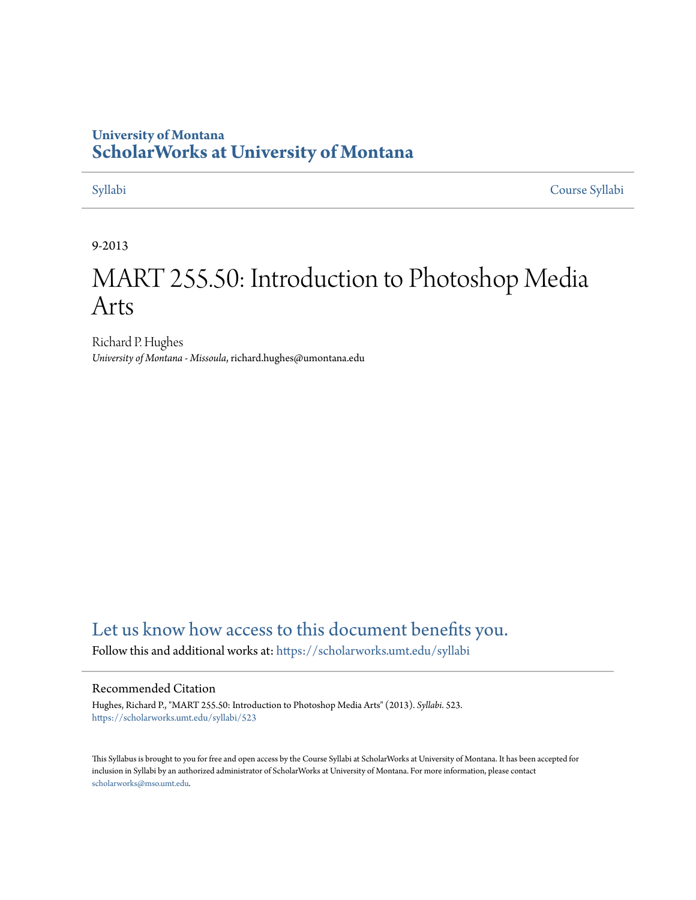#### **University of Montana [ScholarWorks at University of Montana](https://scholarworks.umt.edu?utm_source=scholarworks.umt.edu%2Fsyllabi%2F523&utm_medium=PDF&utm_campaign=PDFCoverPages)**

[Syllabi](https://scholarworks.umt.edu/syllabi?utm_source=scholarworks.umt.edu%2Fsyllabi%2F523&utm_medium=PDF&utm_campaign=PDFCoverPages) [Course Syllabi](https://scholarworks.umt.edu/course_syllabi?utm_source=scholarworks.umt.edu%2Fsyllabi%2F523&utm_medium=PDF&utm_campaign=PDFCoverPages)

#### 9-2013

# MART 255.50: Introduction to Photoshop Media Arts

Richard P. Hughes *University of Montana - Missoula*, richard.hughes@umontana.edu

#### [Let us know how access to this document benefits you.](https://goo.gl/forms/s2rGfXOLzz71qgsB2)

Follow this and additional works at: [https://scholarworks.umt.edu/syllabi](https://scholarworks.umt.edu/syllabi?utm_source=scholarworks.umt.edu%2Fsyllabi%2F523&utm_medium=PDF&utm_campaign=PDFCoverPages)

#### Recommended Citation

Hughes, Richard P., "MART 255.50: Introduction to Photoshop Media Arts" (2013). *Syllabi*. 523. [https://scholarworks.umt.edu/syllabi/523](https://scholarworks.umt.edu/syllabi/523?utm_source=scholarworks.umt.edu%2Fsyllabi%2F523&utm_medium=PDF&utm_campaign=PDFCoverPages)

This Syllabus is brought to you for free and open access by the Course Syllabi at ScholarWorks at University of Montana. It has been accepted for inclusion in Syllabi by an authorized administrator of ScholarWorks at University of Montana. For more information, please contact [scholarworks@mso.umt.edu](mailto:scholarworks@mso.umt.edu).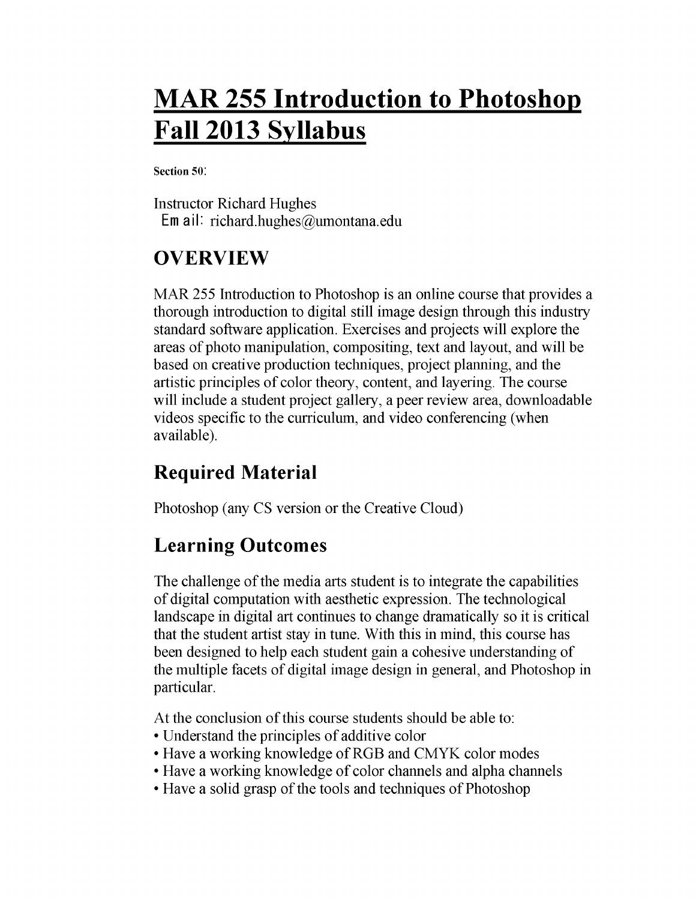# **MAR 255 Introduction to Photoshop Fall 2013 Syllabus**

**Section 50!**

Instructor Richard Hughes Email: richard.hughes@umontana.edu

## **OVERVIEW**

MAR 255 Introduction to Photoshop is an online course that provides a thorough introduction to digital still image design through this industry standard software application. Exercises and projects will explore the areas of photo manipulation, compositing, text and layout, and will be based on creative production techniques, project planning, and the artistic principles of color theory, content, and layering. The course will include a student project gallery, a peer review area, downloadable videos specific to the curriculum, and video conferencing (when available).

### **Required Material**

Photoshop (any CS version or the Creative Cloud)

### **Learning Outcomes**

The challenge of the media arts student is to integrate the capabilities of digital computation with aesthetic expression. The technological landscape in digital art continues to change dramatically so it is critical that the student artist stay in tune. With this in mind, this course has been designed to help each student gain a cohesive understanding of the multiple facets of digital image design in general, and Photoshop in particular.

At the conclusion of this course students should be able to:

- Understand the principles of additive color
- Have a working knowledge of RGB and CMYK color modes
- Have a working knowledge of color channels and alpha channels
- Have a solid grasp of the tools and techniques of Photoshop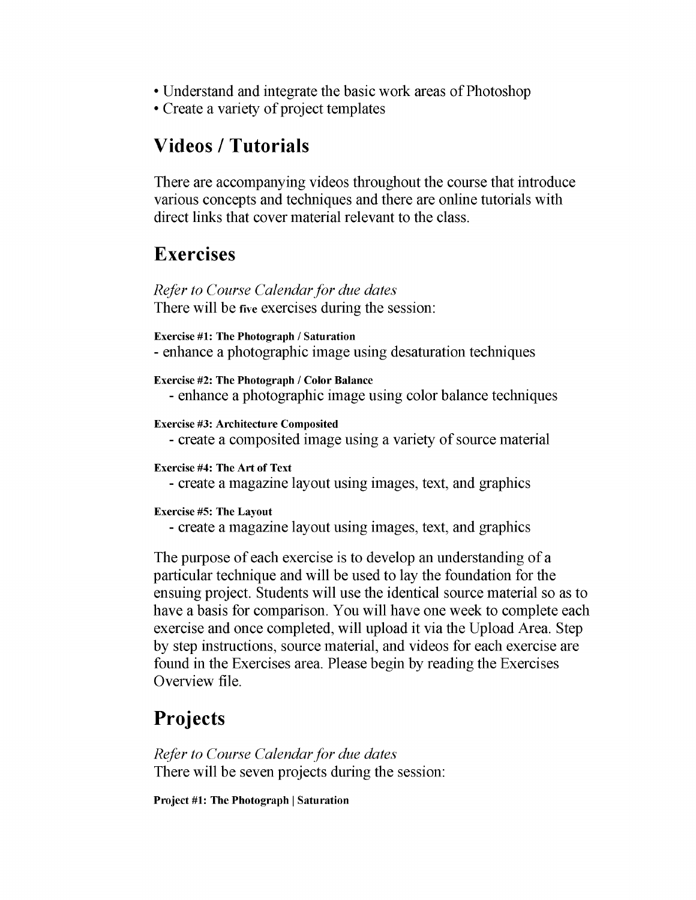- Understand and integrate the basic work areas of Photoshop
- Create a variety of project templates

### **Videos / Tutorials**

There are accompanying videos throughout the course that introduce various concepts and techniques and there are online tutorials with direct links that cover material relevant to the class.

### **Exercises**

*Refer to Course Calendar for due dates* There will be **five** exercises during the session:

**Exercise** *# 1:* **The Photograph / Saturation** - enhance a photographic image using desaturation techniques

**Exercise #2: The Photograph / Color Balance** - enhance a photographic image using color balance techniques

**Exercise #3: Architecture Composited**

- create a composited image using a variety of source material

**Exercise #4: The Art of Text**

- create a magazine layout using images, text, and graphics

**Exercise #5: The Layout**

- create a magazine layout using images, text, and graphics

The purpose of each exercise is to develop an understanding of a particular technique and will be used to lay the foundation for the ensuing project. Students will use the identical source material so as to have a basis for comparison. You will have one week to complete each exercise and once completed, will upload it via the Upload Area. Step by step instructions, source material, and videos for each exercise are found in the Exercises area. Please begin by reading the Exercises Overview file.

### **Projects**

*Refer to Course Calendar for due dates* There will be seven projects during the session:

**Project** *#1:* **The Photograph | Saturation**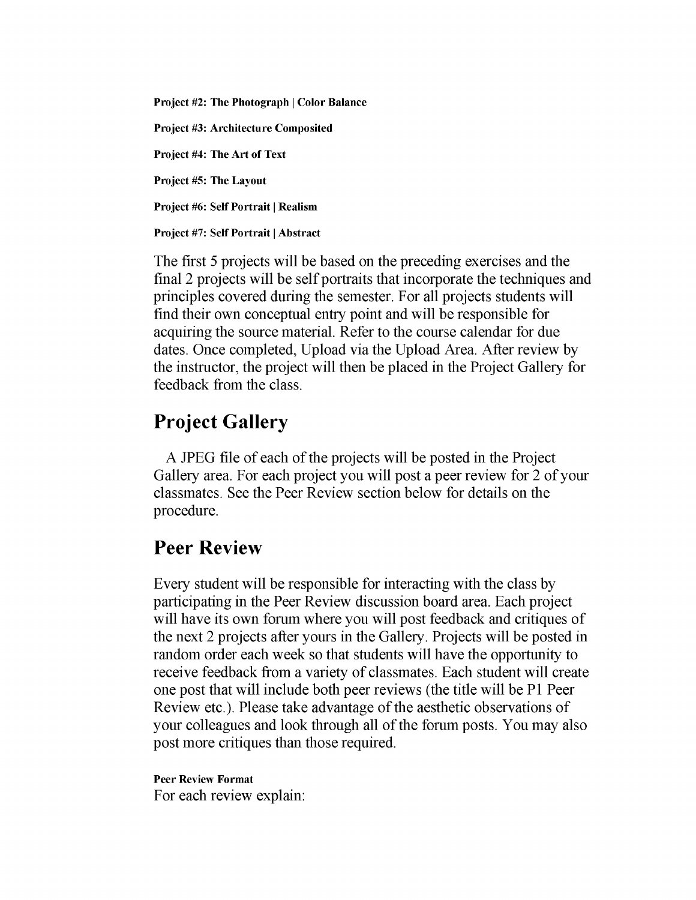**Project #2: The Photograph | Color Balance Project #3: Architecture Composited Project #4: The Art of Text Project #5: The Layout Project #6: Self Portrait | Realism Project #7: Self Portrait | Abstract**

The first 5 projects will be based on the preceding exercises and the final 2 projects will be self portraits that incorporate the techniques and principles covered during the semester. For all projects students will find their own conceptual entry point and will be responsible for acquiring the source material. Refer to the course calendar for due dates. Once completed, Upload via the Upload Area. After review by the instructor, the project will then be placed in the Project Gallery for feedback from the class.

### **Project Gallery**

A JPEG file of each of the projects will be posted in the Project Gallery area. For each project you will post a peer review for 2 of your classmates. See the Peer Review section below for details on the procedure.

### **Peer Review**

Every student will be responsible for interacting with the class by participating in the Peer Review discussion board area. Each project will have its own forum where you will post feedback and critiques of the next 2 projects after yours in the Gallery. Projects will be posted in random order each week so that students will have the opportunity to receive feedback from a variety of classmates. Each student will create one post that will include both peer reviews (the title will be PI Peer Review etc.). Please take advantage of the aesthetic observations of your colleagues and look through all of the forum posts. You may also post more critiques than those required.

#### **Peer Review Format** For each review explain: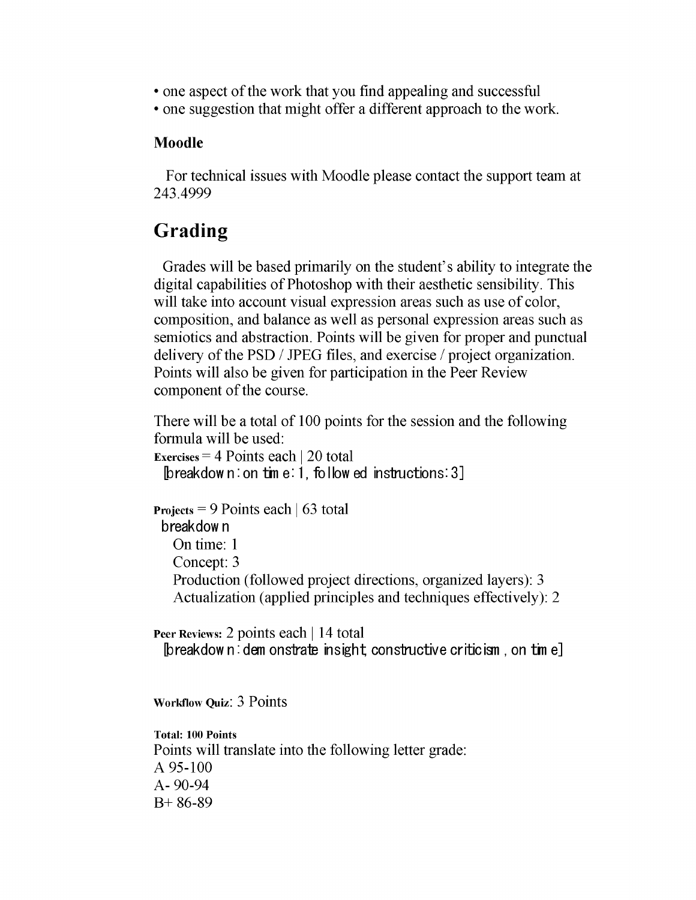- one aspect of the work that you find appealing and successful
- one suggestion that might offer a different approach to the work.

#### **Moodle**

For technical issues with Moodle please contact the support team at 243.4999

### **Grading**

Grades will be based primarily on the student's ability to integrate the digital capabilities of Photoshop with their aesthetic sensibility. This will take into account visual expression areas such as use of color, composition, and balance as well as personal expression areas such as semiotics and abstraction. Points will be given for proper and punctual delivery of the PSD / JPEG files, and exercise / project organization. Points will also be given for participation in the Peer Review component of the course.

There will be a total of 100 points for the session and the following formula will be used:

```
Exercises = 4 Points each | 20 total 
[breakdow n: on tim e: 1, follow ed instructions: 3]
```

```
Projects = 9 Points each | 63 total 
breakdown
  On time: 1 
  Concept: 3
  Production (followed project directions, organized layers): 3 
  Actualization (applied principles and techniques effectively): 2
```
**Peer Reviews:** 2 points each | 14 total **[breakdow n : dem onstrate insight constructive criticism , on tin e]**

**Workflow Quiz:** 3 Points

**Total: 100 Points** Points will translate into the following letter grade: A 95-100 A- 90-94 B+ 86-89